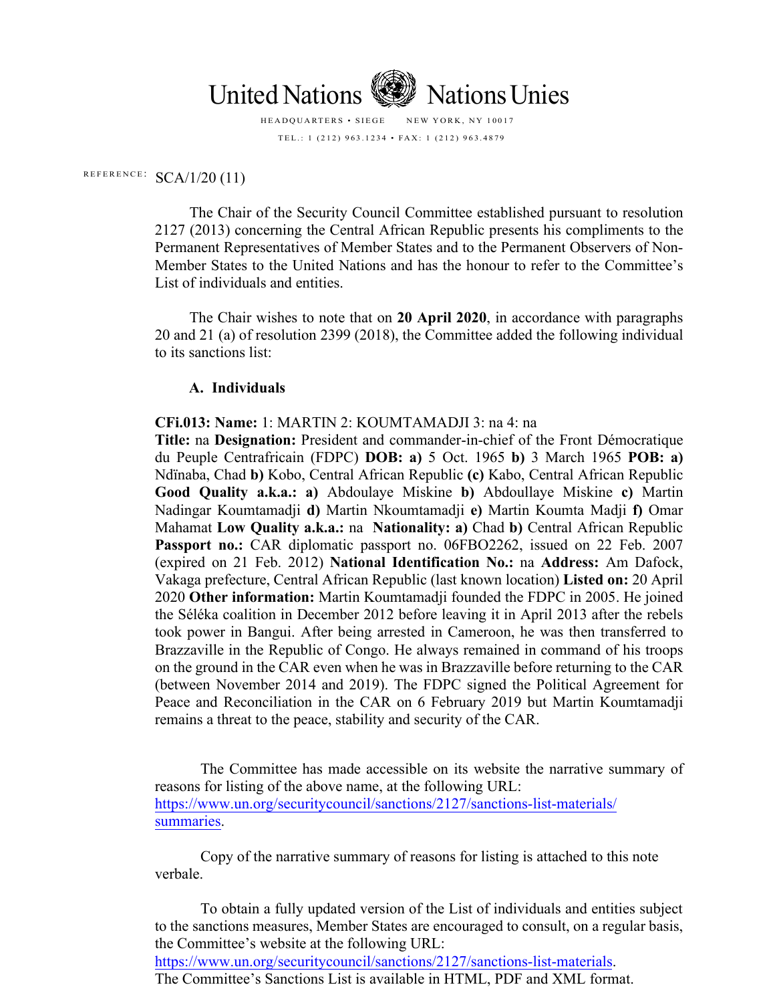

HEADQUARTERS • SIEGE NEW YORK, NY 10017 TEL.: 1 (212) 963.1234 • FAX: 1 (212) 963.4879

## REFERENCE:  $SCA/1/20$  (11)

The Chair of the Security Council Committee established pursuant to resolution 2127 (2013) concerning the Central African Republic presents his compliments to the Permanent Representatives of Member States and to the Permanent Observers of Non-Member States to the United Nations and has the honour to refer to the Committee's List of individuals and entities.

The Chair wishes to note that on **20 April 2020**, in accordance with paragraphs 20 and 21 (a) of resolution 2399 (2018), the Committee added the following individual to its sanctions list:

## **A. Individuals**

**CFi.013: Name:** 1: MARTIN 2: KOUMTAMADJI 3: na 4: na

**Title:** na **Designation:** President and commander-in-chief of the Front Démocratique du Peuple Centrafricain (FDPC) **DOB: a)** 5 Oct. 1965 **b)** 3 March 1965 **POB: a)**  Ndïnaba, Chad **b)** Kobo, Central African Republic **(c)** Kabo, Central African Republic **Good Quality a.k.a.: a)** Abdoulaye Miskine **b)** Abdoullaye Miskine **c)** Martin Nadingar Koumtamadji **d)** Martin Nkoumtamadji **e)** Martin Koumta Madji **f)** Omar Mahamat **Low Quality a.k.a.:** na **Nationality: a)** Chad **b)** Central African Republic Passport no.: CAR diplomatic passport no. 06FBO2262, issued on 22 Feb. 2007 (expired on 21 Feb. 2012) **National Identification No.:** na **Address:** Am Dafock, Vakaga prefecture, Central African Republic (last known location) **Listed on:** 20 April 2020 **Other information:** Martin Koumtamadji founded the FDPC in 2005. He joined the Séléka coalition in December 2012 before leaving it in April 2013 after the rebels took power in Bangui. After being arrested in Cameroon, he was then transferred to Brazzaville in the Republic of Congo. He always remained in command of his troops on the ground in the CAR even when he was in Brazzaville before returning to the CAR (between November 2014 and 2019). The FDPC signed the Political Agreement for Peace and Reconciliation in the CAR on 6 February 2019 but Martin Koumtamadji remains a threat to the peace, stability and security of the CAR.

The Committee has made accessible on its website the narrative summary of reasons for listing of the above name, at the following URL: [https://www.un.org/securitycouncil/sanctions/2127/sanctions-list-materials/](https://www.un.org/sc/suborg/en/sanctions/2127/sanctions-list-materials/summaries) summaries.

Copy of the narrative summary of reasons for listing is attached to this note verbale.

[To obtain a fully updated version of the List of individuals and e](https://www.un.org/sc/suborg/en/sanctions/2127/sanctions-list-materials)ntities subject to the sanctions measures, Member States are encouraged to consult, on a regular basis, the Committee's website at the following URL: https://www.un.org/securitycouncil/sanctions/2127/sanctions-list-materials. The Committee's Sanctions List is available in HTML, PDF and XML format.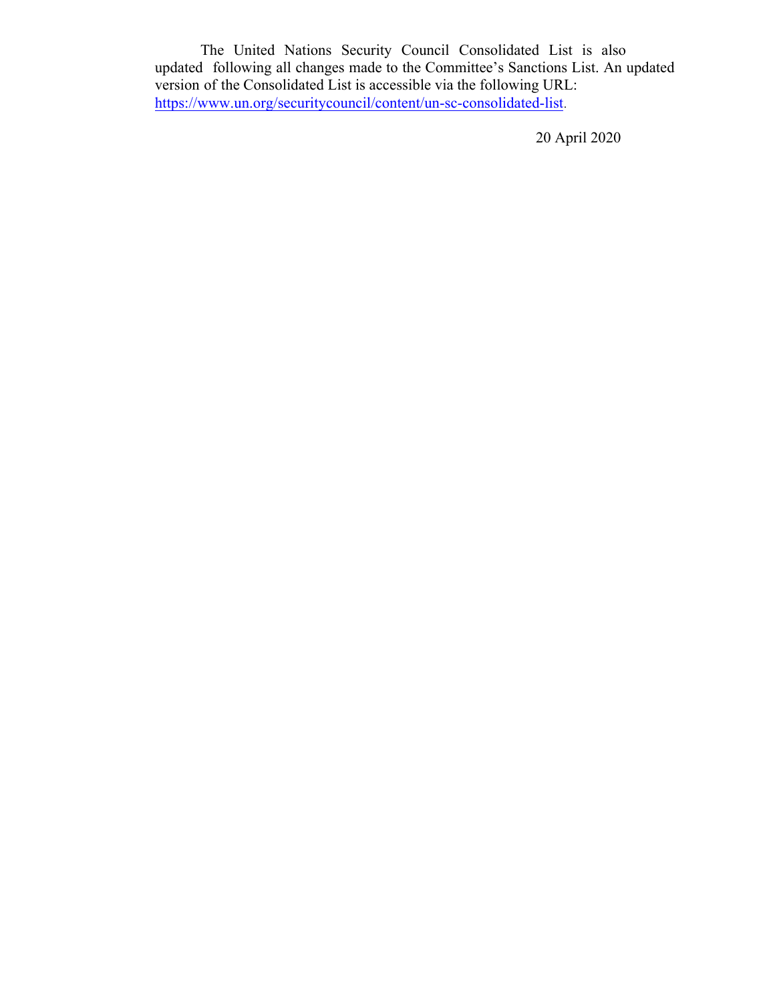The United Nations Security Council Consolidated List is also updated following all changes made to the Committee's Sanctions List. An updated version of the Consolidated List is accessible via the following URL: [https://www.un.org/securitycouncil/content/un-sc-consolidated-list](https://www.un.org/sc/suborg/en/sanctions/un-sc-consolidated-list).

20 April 2020